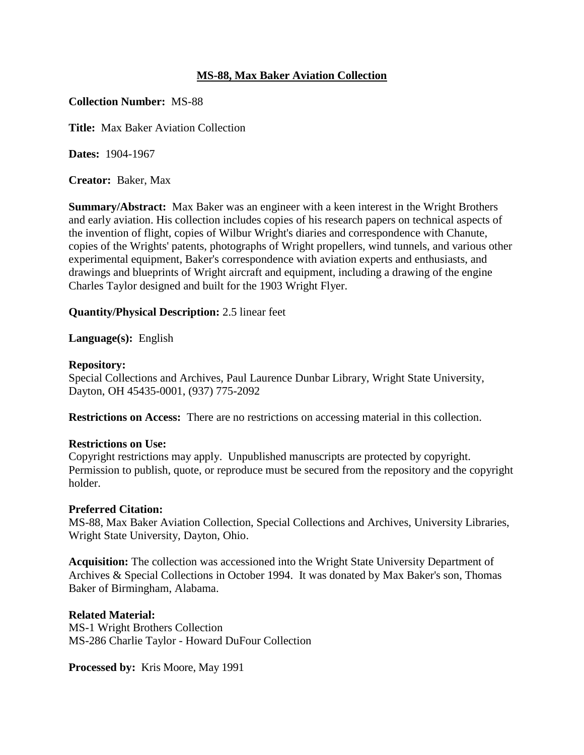### **MS-88, Max Baker Aviation Collection**

#### **Collection Number:** MS-88

**Title:** Max Baker Aviation Collection

**Dates:** 1904-1967

**Creator:** Baker, Max

**Summary/Abstract:** Max Baker was an engineer with a keen interest in the Wright Brothers and early aviation. His collection includes copies of his research papers on technical aspects of the invention of flight, copies of Wilbur Wright's diaries and correspondence with Chanute, copies of the Wrights' patents, photographs of Wright propellers, wind tunnels, and various other experimental equipment, Baker's correspondence with aviation experts and enthusiasts, and drawings and blueprints of Wright aircraft and equipment, including a drawing of the engine Charles Taylor designed and built for the 1903 Wright Flyer.

**Quantity/Physical Description:** 2.5 linear feet

**Language(s):** English

#### **Repository:**

Special Collections and Archives, Paul Laurence Dunbar Library, Wright State University, Dayton, OH 45435-0001, (937) 775-2092

**Restrictions on Access:** There are no restrictions on accessing material in this collection.

#### **Restrictions on Use:**

Copyright restrictions may apply. Unpublished manuscripts are protected by copyright. Permission to publish, quote, or reproduce must be secured from the repository and the copyright holder.

#### **Preferred Citation:**

MS-88, Max Baker Aviation Collection, Special Collections and Archives, University Libraries, Wright State University, Dayton, Ohio.

**Acquisition:** The collection was accessioned into the Wright State University Department of Archives & Special Collections in October 1994. It was donated by Max Baker's son, Thomas Baker of Birmingham, Alabama.

#### **Related Material:**

MS-1 Wright Brothers Collection MS-286 Charlie Taylor - Howard DuFour Collection

**Processed by:** Kris Moore, May 1991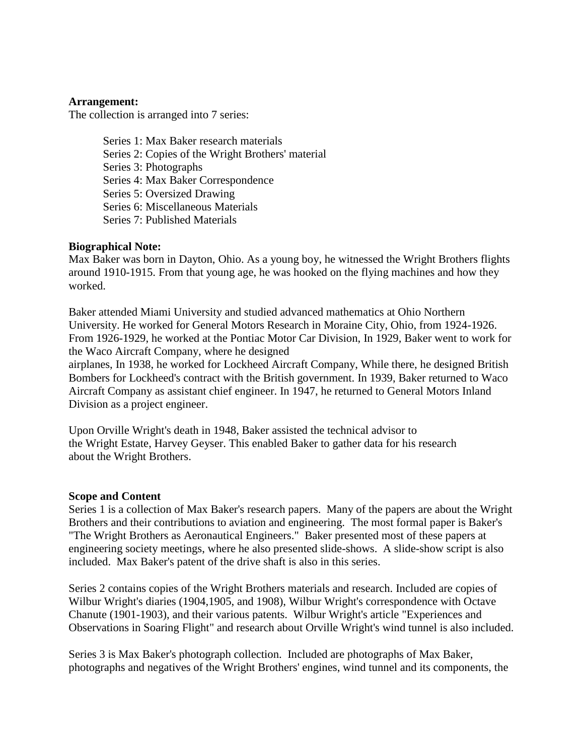#### **Arrangement:**

The collection is arranged into 7 series:

Series 1: Max Baker research materials Series 2: Copies of the Wright Brothers' material Series 3: Photographs Series 4: Max Baker Correspondence Series 5: Oversized Drawing Series 6: Miscellaneous Materials Series 7: Published Materials

#### **Biographical Note:**

Max Baker was born in Dayton, Ohio. As a young boy, he witnessed the Wright Brothers flights around 1910-1915. From that young age, he was hooked on the flying machines and how they worked.

Baker attended Miami University and studied advanced mathematics at Ohio Northern University. He worked for General Motors Research in Moraine City, Ohio, from 1924-1926. From 1926-1929, he worked at the Pontiac Motor Car Division, In 1929, Baker went to work for the Waco Aircraft Company, where he designed

airplanes, In 1938, he worked for Lockheed Aircraft Company, While there, he designed British Bombers for Lockheed's contract with the British government. In 1939, Baker returned to Waco Aircraft Company as assistant chief engineer. In 1947, he returned to General Motors Inland Division as a project engineer.

Upon Orville Wright's death in 1948, Baker assisted the technical advisor to the Wright Estate, Harvey Geyser. This enabled Baker to gather data for his research about the Wright Brothers.

#### **Scope and Content**

Series 1 is a collection of Max Baker's research papers. Many of the papers are about the Wright Brothers and their contributions to aviation and engineering. The most formal paper is Baker's "The Wright Brothers as Aeronautical Engineers." Baker presented most of these papers at engineering society meetings, where he also presented slide-shows. A slide-show script is also included. Max Baker's patent of the drive shaft is also in this series.

Series 2 contains copies of the Wright Brothers materials and research. Included are copies of Wilbur Wright's diaries (1904,1905, and 1908), Wilbur Wright's correspondence with Octave Chanute (1901-1903), and their various patents. Wilbur Wright's article "Experiences and Observations in Soaring Flight" and research about Orville Wright's wind tunnel is also included.

Series 3 is Max Baker's photograph collection. Included are photographs of Max Baker, photographs and negatives of the Wright Brothers' engines, wind tunnel and its components, the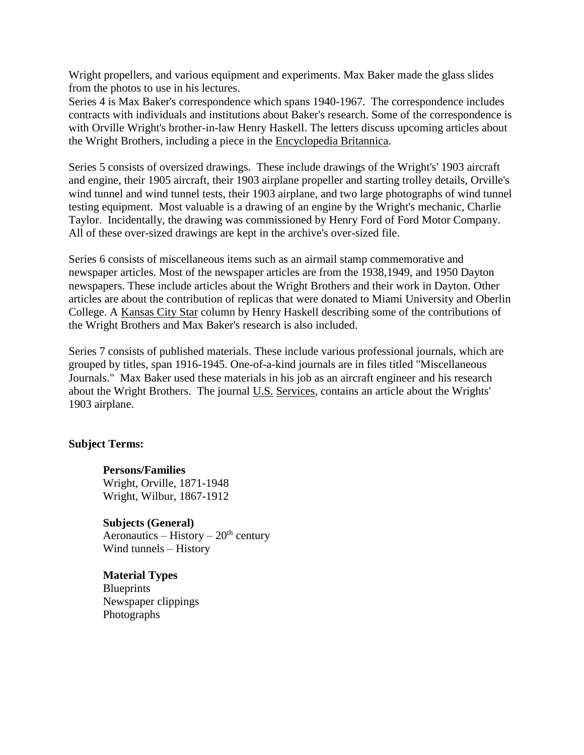Wright propellers, and various equipment and experiments. Max Baker made the glass slides from the photos to use in his lectures.

Series 4 is Max Baker's correspondence which spans 1940-1967. The correspondence includes contracts with individuals and institutions about Baker's research. Some of the correspondence is with Orville Wright's brother-in-law Henry Haskell. The letters discuss upcoming articles about the Wright Brothers, including a piece in the Encyclopedia Britannica.

Series 5 consists of oversized drawings. These include drawings of the Wright's' 1903 aircraft and engine, their 1905 aircraft, their 1903 airplane propeller and starting trolley details, Orville's wind tunnel and wind tunnel tests, their 1903 airplane, and two large photographs of wind tunnel testing equipment. Most valuable is a drawing of an engine by the Wright's mechanic, Charlie Taylor. Incidentally, the drawing was commissioned by Henry Ford of Ford Motor Company. All of these over-sized drawings are kept in the archive's over-sized file.

Series 6 consists of miscellaneous items such as an airmail stamp commemorative and newspaper articles. Most of the newspaper articles are from the 1938,1949, and 1950 Dayton newspapers. These include articles about the Wright Brothers and their work in Dayton. Other articles are about the contribution of replicas that were donated to Miami University and Oberlin College. A Kansas City Star column by Henry Haskell describing some of the contributions of the Wright Brothers and Max Baker's research is also included.

Series 7 consists of published materials. These include various professional journals, which are grouped by titles, span 1916-1945. One-of-a-kind journals are in files titled "Miscellaneous Journals." Max Baker used these materials in his job as an aircraft engineer and his research about the Wright Brothers. The journal U.S. Services, contains an article about the Wrights' 1903 airplane.

#### **Subject Terms:**

**Persons/Families** Wright, Orville, 1871-1948 Wright, Wilbur, 1867-1912

**Subjects (General)** Aeronautics – History –  $20<sup>th</sup>$  century Wind tunnels – History

**Material Types Blueprints** Newspaper clippings Photographs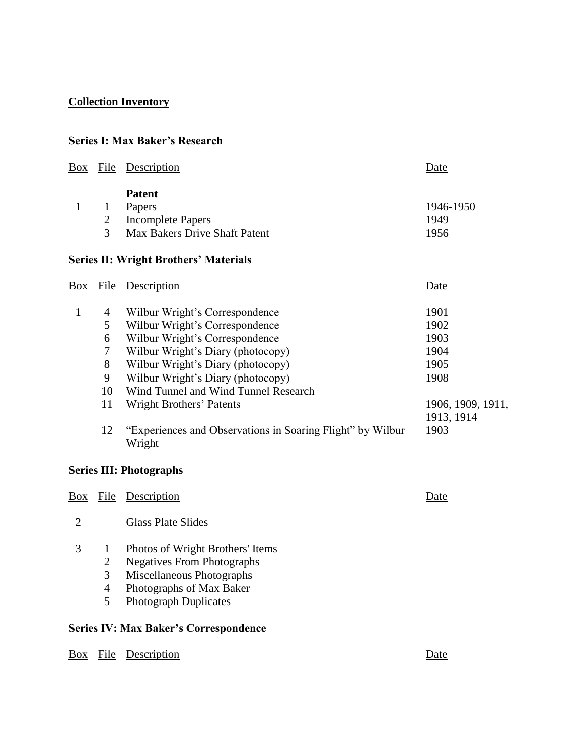## **Collection Inventory**

## **Series I: Max Baker's Research**

| Box            | File           | Description                                                          | Date              |
|----------------|----------------|----------------------------------------------------------------------|-------------------|
|                |                | <b>Patent</b>                                                        |                   |
| $\mathbf{1}$   | $\mathbf{1}$   | Papers                                                               | 1946-1950         |
|                | $\overline{2}$ | <b>Incomplete Papers</b>                                             | 1949              |
|                | 3              | Max Bakers Drive Shaft Patent                                        | 1956              |
|                |                | <b>Series II: Wright Brothers' Materials</b>                         |                   |
| Box            | <b>File</b>    | Description                                                          | Date              |
| $\mathbf{1}$   | $\overline{4}$ | Wilbur Wright's Correspondence                                       | 1901              |
|                | 5              | Wilbur Wright's Correspondence                                       | 1902              |
|                | 6              | Wilbur Wright's Correspondence                                       | 1903              |
|                | $\tau$         | Wilbur Wright's Diary (photocopy)                                    | 1904              |
|                | $8\,$          | Wilbur Wright's Diary (photocopy)                                    | 1905              |
|                | 9              | Wilbur Wright's Diary (photocopy)                                    | 1908              |
|                | 10             | Wind Tunnel and Wind Tunnel Research                                 |                   |
|                | 11             | Wright Brothers' Patents                                             | 1906, 1909, 1911, |
|                |                |                                                                      | 1913, 1914        |
|                | 12             | "Experiences and Observations in Soaring Flight" by Wilbur<br>Wright | 1903              |
|                |                | <b>Series III: Photographs</b>                                       |                   |
| <b>Box</b>     | <b>File</b>    | Description                                                          | Date              |
| $\overline{2}$ |                | <b>Glass Plate Slides</b>                                            |                   |
| 3              | $\mathbf{1}$   | Photos of Wright Brothers' Items                                     |                   |
|                | $\sqrt{2}$     | <b>Negatives From Photographs</b>                                    |                   |
|                | 3              | Miscellaneous Photographs                                            |                   |
|                | $\overline{4}$ | Photographs of Max Baker                                             |                   |
|                | 5              | <b>Photograph Duplicates</b>                                         |                   |
|                |                | <b>Series IV: Max Baker's Correspondence</b>                         |                   |

Box File Description Date